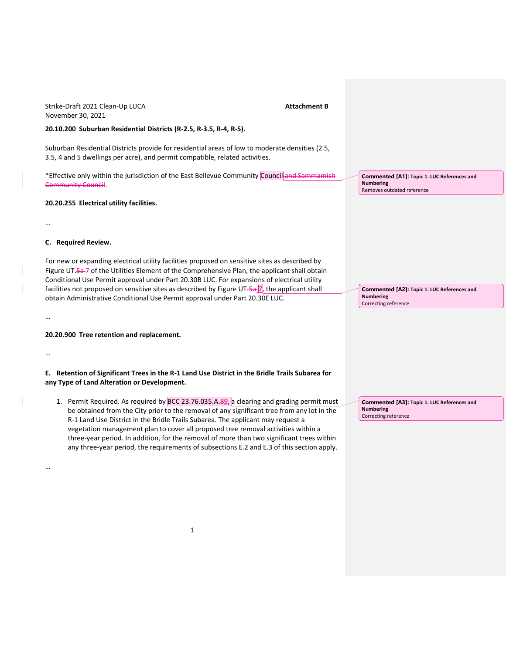# November 30, 2021 **20.10.200 Suburban Residential Districts (R-2.5, R-3.5, R-4, R-5).** Suburban Residential Districts provide for residential areas of low to moderate densities (2.5, 3.5, 4 and 5 dwellings per acre), and permit compatible, related activities. \*Effective only within the jurisdiction of the East Bellevue Community Council and Sammamish Community Council. **20.20.255 Electrical utility facilities.** … **C. Required Review.** For new or expanding electrical utility facilities proposed on sensitive sites as described by Figure UT.5a-7 of the Utilities Element of the Comprehensive Plan, the applicant shall obtain Conditional Use Permit approval under Part 20.30B LUC. For expansions of electrical utility facilities not proposed on sensitive sites as described by Figure UT. $\frac{5a}{7}$ , the applicant shall obtain Administrative Conditional Use Permit approval under Part 20.30E LUC. … **20.20.900 Tree retention and replacement.** … **E. Retention of Significant Trees in the R-1 Land Use District in the Bridle Trails Subarea for any Type of Land Alteration or Development.** 1. Permit Required. As required by  $BCC 23.76.035.A.89$ , a clearing and grading permit must be obtained from the City prior to the removal of any significant tree from any lot in the R-1 Land Use District in the Bridle Trails Subarea. The applicant may request a vegetation management plan to cover all proposed tree removal activities within a three-year period. In addition, for the removal of more than two significant trees within any three-year period, the requirements of subsections E.2 and E.3 of this section apply. … **Commented [A1]: Topic 1. LUC References and Numbering** Removes outdated reference **Commented [A2]: Topic 1. LUC References and Numbering** Correcting reference **Commented [A3]: Topic 1. LUC References and Numbering** Correcting reference

Strike-Draft 2021 Clean-Up LUCA **Attachment B**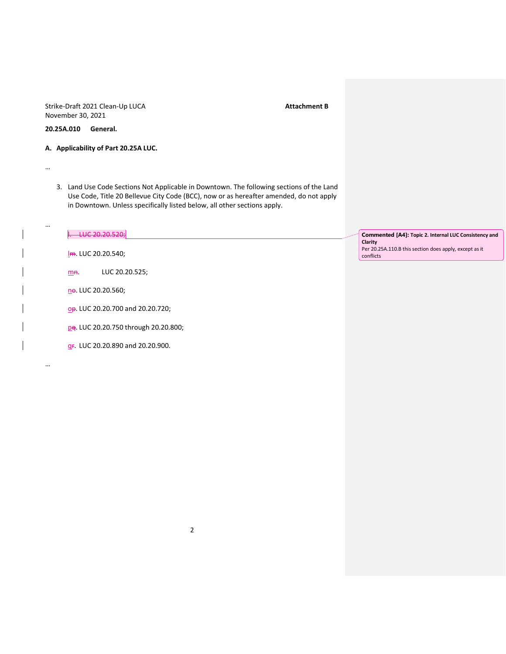Strike-Draft 2021 Clean-Up LUCA<br> **Attachment B** November 30, 2021

**20.25A.010 General.**

…

…

…

- **A. Applicability of Part 20.25A LUC.**
	- 3. Land Use Code Sections Not Applicable in Downtown. The following sections of the Land Use Code, Title 20 Bellevue City Code (BCC), now or as hereafter amended, do not apply in Downtown. Unless specifically listed below, all other sections apply.

| LUC 20.20.520;                                | Commented [A4]: Topic 2. Internal LUC Consistency and<br>Clarity    |
|-----------------------------------------------|---------------------------------------------------------------------|
| $Im.$ LUC 20.20.540;                          | Per 20.25A.110.B this section does apply, except as it<br>conflicts |
| LUC 20.20.525;<br>m <sub>n</sub>              |                                                                     |
| ne. LUC 20.20.560;                            |                                                                     |
| op. LUC 20.20.700 and 20.20.720;              |                                                                     |
| pq. LUC 20.20.750 through 20.20.800;          |                                                                     |
| g <sub>F</sub> . LUC 20.20.890 and 20.20.900. |                                                                     |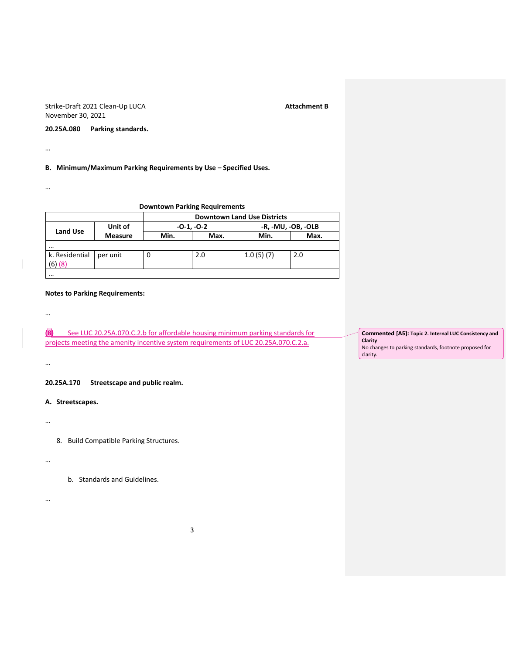Strike-Draft 2021 Clean-Up LUCA and the strike-Draft 2021 Clean-Up LUCA November 30, 2021

**20.25A.080 Parking standards.**

…

**B. Minimum/Maximum Parking Requirements by Use – Specified Uses.**

…

|  |  | <b>Downtown Parking Requirements</b> |
|--|--|--------------------------------------|
|--|--|--------------------------------------|

|                 |                | <b>Downtown Land Use Districts</b> |              |                    |      |
|-----------------|----------------|------------------------------------|--------------|--------------------|------|
|                 | Unit of        |                                    | $-0-1, -0-2$ | -R, -MU, -OB, -OLB |      |
| <b>Land Use</b> | <b>Measure</b> | Min.                               | Max.         | Min.               | Max. |
| $\cdots$        |                |                                    |              |                    |      |
| k. Residential  | per unit       | 0                                  | 2.0          | 1.0(5)(7)          | 2.0  |
| $(6)$ $(8)$     |                |                                    |              |                    |      |
| $\cdots$        |                |                                    |              |                    |      |

## **Notes to Parking Requirements:**

**(8)** See LUC 20.25A.070.C.2.b for affordable housing minimum parking standards for projects meeting the amenity incentive system requirements of LUC 20.25A.070.C.2.a.

**20.25A.170 Streetscape and public realm.**

**A. Streetscapes.**

…

…

…

…

…

8. Build Compatible Parking Structures.

b. Standards and Guidelines.

**Commented [A5]: Topic 2. Internal LUC Consistency and Clarity** No changes to parking standards, footnote proposed for clarity.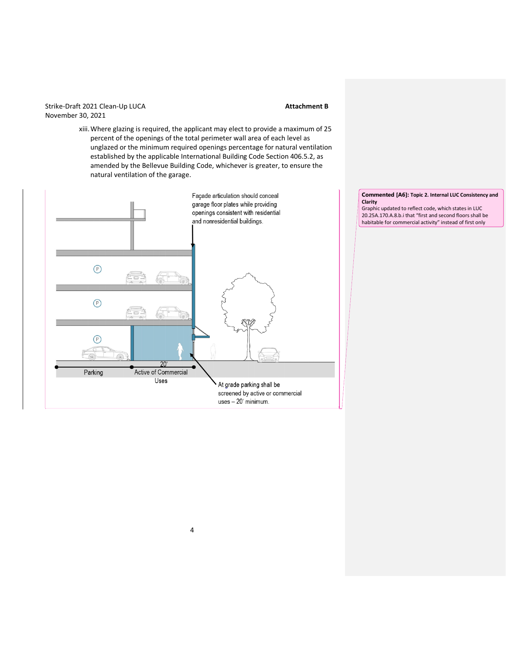## Strike-Draft 2021 Clean-Up LUCA<br> **Attachment B** November 30, 2021

xiii.Where glazing is required, the applicant may elect to provide a maximum of 25 percent of the openings of the total perimeter wall area of each level as unglazed or the minimum required openings percentage for natural ventilation established by the applicable International Building Code Section 406.5.2, as amended by the Bellevue Building Code, whichever is greater, to ensure the natural ventilation of the garage.



**Commented [A6]: Topic 2. Internal LUC Consistency and Clarity** Graphic updated to reflect code, which states in LUC

20.25A.170.A.8.b.i that "first and second floors shall be habitable for commercial activity" instead of first only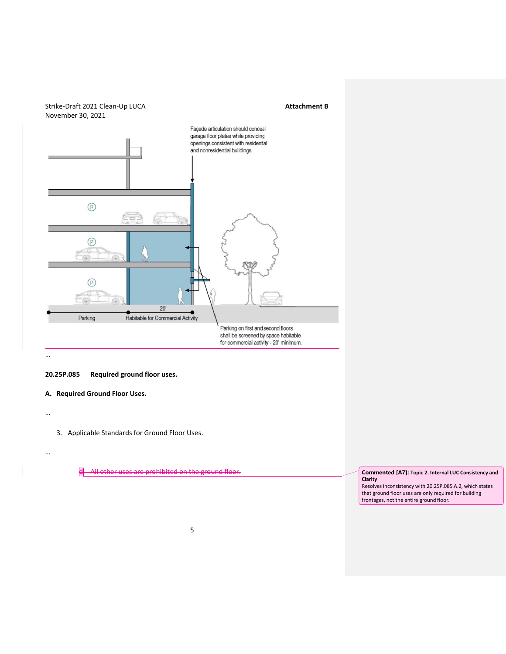

**20.25P.085 Required ground floor uses.**

**A. Required Ground Floor Uses.**

…

…

3. Applicable Standards for Ground Floor Uses.

d. All other uses are prohibited on the ground floor. **Commented [A7]: Topic 2. Internal LUC Consistency and** 

**Clarity**

Resolves inconsistency with 20.25P.085.A.2, which states that ground floor uses are only required for building frontages, not the entire ground floor.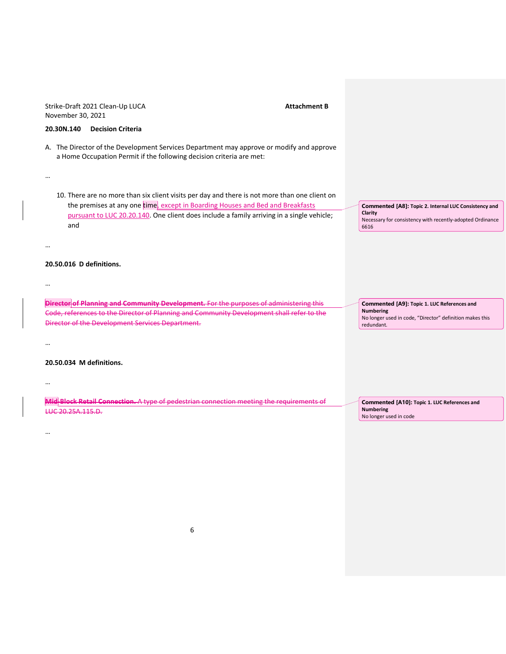| November 30, 2021        | Strike-Draft 2021 Clean-Up LUCA                                      |                                                                                                                                                                                 | <b>Attachment B</b> |                                                                                            |
|--------------------------|----------------------------------------------------------------------|---------------------------------------------------------------------------------------------------------------------------------------------------------------------------------|---------------------|--------------------------------------------------------------------------------------------|
| 20.30N.140               | <b>Decision Criteria</b>                                             |                                                                                                                                                                                 |                     |                                                                                            |
|                          | a Home Occupation Permit if the following decision criteria are met: | A. The Director of the Development Services Department may approve or modify and approve                                                                                        |                     |                                                                                            |
|                          |                                                                      |                                                                                                                                                                                 |                     |                                                                                            |
|                          |                                                                      | 10. There are no more than six client visits per day and there is not more than one client on<br>the premises at any one time, except in Boarding Houses and Bed and Breakfasts |                     | Commented [A8]: Topic 2. Internal LUC Consistency and                                      |
| and                      |                                                                      | pursuant to LUC 20.20.140. One client does include a family arriving in a single vehicle;                                                                                       |                     | Clarity<br>Necessary for consistency with recently-adopted Ordinance<br>6616               |
|                          |                                                                      |                                                                                                                                                                                 |                     |                                                                                            |
| 20.50.016 D definitions. |                                                                      |                                                                                                                                                                                 |                     |                                                                                            |
|                          |                                                                      |                                                                                                                                                                                 |                     |                                                                                            |
|                          |                                                                      | <b>Director of Planning and Community Development.</b> For the purposes of administering this                                                                                   |                     | Commented [A9]: Topic 1. LUC References and                                                |
|                          | Director of the Development Services Department.                     | Code, references to the Director of Planning and Community Development shall refer to the                                                                                       |                     | <b>Numbering</b><br>No longer used in code, "Director" definition makes this<br>redundant. |
|                          |                                                                      |                                                                                                                                                                                 |                     |                                                                                            |
| 20.50.034 M definitions. |                                                                      |                                                                                                                                                                                 |                     |                                                                                            |
|                          |                                                                      |                                                                                                                                                                                 |                     |                                                                                            |
| LUC 20.25A.115.D.        |                                                                      | <b>Mid Block Retail Connection.</b> A type of pedestrian connection meeting the requirements of                                                                                 |                     | Commented [A10]: Topic 1. LUC References and<br><b>Numbering</b><br>No longer used in code |
|                          |                                                                      |                                                                                                                                                                                 |                     |                                                                                            |
|                          |                                                                      |                                                                                                                                                                                 |                     |                                                                                            |
|                          |                                                                      |                                                                                                                                                                                 |                     |                                                                                            |